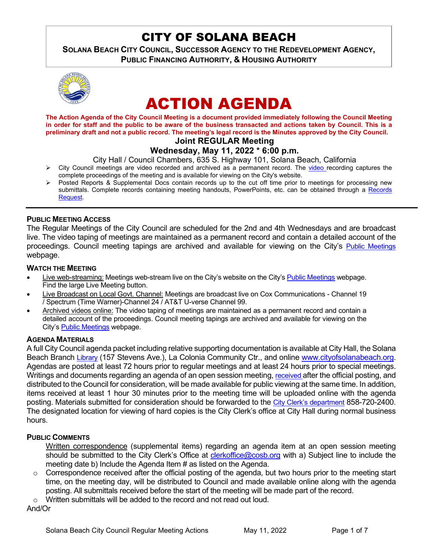## CITY OF SOLANA BEACH

**SOLANA BEACH CITY COUNCIL, SUCCESSOR AGENCY TO THE REDEVELOPMENT AGENCY, PUBLIC FINANCING AUTHORITY, & HOUSING AUTHORITY** 



# ACTION AGENDA

**The Action Agenda of the City Council Meeting is a document provided immediately following the Council Meeting in order for staff and the public to be aware of the business transacted and actions taken by Council. This is a preliminary draft and not a public record. The meeting's legal record is the Minutes approved by the City Council. Joint REGULAR Meeting**

## **Wednesday, May 11, 2022 \* 6:00 p.m.**

- City Hall / Council Chambers, 635 S. Highway 101, Solana Beach, California
- $\triangleright$  City Council meetings are [video r](https://solanabeach.12milesout.com/#page=1)ecorded and archived as a permanent record. The video recording captures the complete proceedings of the meeting and is available for viewing on the City's website.
- Posted Reports & Supplemental Docs contain records up to the cut off time prior to meetings for processing new submittals. Complete records containing meeting handouts, PowerPoints, etc. can be obtained through a Records [Request.](http://www.ci.solana-beach.ca.us/index.asp?SEC=F5D45D10-70CE-4291-A27C-7BD633FC6742&Type=B_BASIC)

## **PUBLIC MEETING ACCESS**

The Regular Meetings of the City Council are scheduled for the 2nd and 4th Wednesdays and are broadcast live. The video taping of meetings are maintained as a permanent record and contain a detailed account of the proceedings. Council meeting tapings are archived and available for viewing on the City's [Public Meetings](https://www.ci.solana-beach.ca.us/index.asp?SEC=F0F1200D-21C6-4A88-8AE1-0BC07C1A81A7&Type=B_BASIC) webpage.

#### **WATCH THE MEETING**

- Live web-streaming: Meetings web-stream live on the City's website on the City's [Public Meetings](https://urldefense.proofpoint.com/v2/url?u=https-3A__www.ci.solana-2Dbeach.ca.us_index.asp-3FSEC-3DF0F1200D-2D21C6-2D4A88-2D8AE1-2D0BC07C1A81A7-26Type-3DB-5FBASIC&d=DwMFAg&c=euGZstcaTDllvimEN8b7jXrwqOf-v5A_CdpgnVfiiMM&r=1XAsCUuqwK_tji2t0s1uIQ&m=wny2RVfZJ2tN24LkqZmkUWNpwL_peNtTZUBlTBZiMM4&s=WwpcEQpHHkFen6nS6q2waMuQ_VMZ-i1YZ60lD-dYRRE&e=) webpage. Find the large Live Meeting button.
- Live Broadcast on Local Govt. Channel: Meetings are broadcast live on Cox Communications Channel 19 / Spectrum (Time Warner)-Channel 24 / AT&T U-verse Channel 99.
- Archived videos online: The video taping of meetings are maintained as a permanent record and contain a detailed account of the proceedings. Council meeting tapings are archived and available for viewing on the City's [Public Meetings](https://urldefense.proofpoint.com/v2/url?u=https-3A__www.ci.solana-2Dbeach.ca.us_index.asp-3FSEC-3DF0F1200D-2D21C6-2D4A88-2D8AE1-2D0BC07C1A81A7-26Type-3DB-5FBASIC&d=DwMFAg&c=euGZstcaTDllvimEN8b7jXrwqOf-v5A_CdpgnVfiiMM&r=1XAsCUuqwK_tji2t0s1uIQ&m=wny2RVfZJ2tN24LkqZmkUWNpwL_peNtTZUBlTBZiMM4&s=WwpcEQpHHkFen6nS6q2waMuQ_VMZ-i1YZ60lD-dYRRE&e=) webpage.

#### **AGENDA MATERIALS**

A full City Council agenda packet including relative supporting documentation is available at City Hall, the Solana Beach Branch [Library](http://www.sdcl.org/locations_SB.html) (157 Stevens Ave.), La Colonia Community Ctr., and online [www.cityofsolanabeach.org.](http://www.cityofsolanabeach.org/) Agendas are posted at least 72 hours prior to regular meetings and at least 24 hours prior to special meetings. Writings and documents regarding an agenda of an open session meeting[, received a](mailto:EMAILGRP-CityClerksOfc@cosb.org)fter the official posting, and distributed to the Council for consideration, will be made available for public viewing at the same time. In addition, items received at least 1 hour 30 minutes prior to the meeting time will be uploaded online with the agenda posting. Materials submitted for consideration should be forwarded to the [City Clerk's department](mailto:clerkoffice@cosb.org) 858-720-2400. The designated location for viewing of hard copies is the City Clerk's office at City Hall during normal business hours.

## **PUBLIC COMMENTS**

Written correspondence (supplemental items) regarding an agenda item at an open session meeting should be submitted to the City Clerk's Office at [clerkoffice@cosb.org](mailto:clerkoffice@cosb.org) with a) Subject line to include the meeting date b) Include the Agenda Item # as listed on the Agenda.

 $\circ$  Correspondence received after the official posting of the agenda, but two hours prior to the meeting start time, on the meeting day, will be distributed to Council and made available online along with the agenda posting. All submittals received before the start of the meeting will be made part of the record.

o Written submittals will be added to the record and not read out loud.

And/Or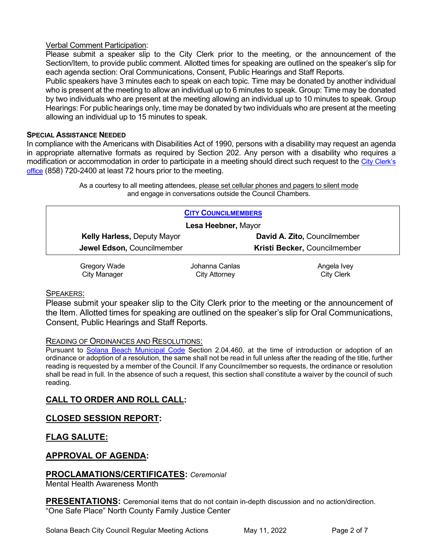## Verbal Comment Participation:

Please submit a speaker slip to the City Clerk prior to the meeting, or the announcement of the Section/Item, to provide public comment. Allotted times for speaking are outlined on the speaker's slip for each agenda section: Oral Communications, Consent, Public Hearings and Staff Reports.

Public speakers have 3 minutes each to speak on each topic. Time may be donated by another individual who is present at the meeting to allow an individual up to 6 minutes to speak. Group: Time may be donated by two individuals who are present at the meeting allowing an individual up to 10 minutes to speak. Group Hearings: For public hearings only, time may be donated by two individuals who are present at the meeting allowing an individual up to 15 minutes to speak.

#### **SPECIAL ASSISTANCE NEEDED**

In compliance with the Americans with Disabilities Act of 1990, persons with a disability may request an agenda in appropriate alternative formats as required by Section 202. Any person with a disability who requires a modification or accommodation in order to participate in a meeting should direct such request to the [City Clerk's](mailto:clerkadmin@cosb.org?subject=City%20Clerk%20Notice%20of%20Special%20Services%20Needed)  [office](mailto:clerkadmin@cosb.org?subject=City%20Clerk%20Notice%20of%20Special%20Services%20Needed) (858) 720-2400 at least 72 hours prior to the meeting.

> As a courtesy to all meeting attendees, please set cellular phones and pagers to silent mode and engage in conversations outside the Council Chambers.

| <b>CITY COUNCILMEMBERS</b>         |                |                              |
|------------------------------------|----------------|------------------------------|
| Lesa Heebner, Mayor                |                |                              |
| <b>Kelly Harless, Deputy Mayor</b> |                | David A. Zito, Councilmember |
| Jewel Edson, Councilmember         |                | Kristi Becker, Councilmember |
| Gregory Wade                       | Johanna Canlas | Angela Ivey                  |
| City Manager                       | City Attorney  | <b>City Clerk</b>            |

#### SPEAKERS:

Please submit your speaker slip to the City Clerk prior to the meeting or the announcement of the Item. Allotted times for speaking are outlined on the speaker's slip for Oral Communications, Consent, Public Hearings and Staff Reports.

#### READING OF ORDINANCES AND RESOLUTIONS:

Pursuant to [Solana Beach Municipal Code](mailto:https://www.codepublishing.com/CA/SolanaBeach/) Section 2.04.460, at the time of introduction or adoption of an ordinance or adoption of a resolution, the same shall not be read in full unless after the reading of the title, further reading is requested by a member of the Council. If any Councilmember so requests, the ordinance or resolution shall be read in full. In the absence of such a request, this section shall constitute a waiver by the council of such reading.

## **CALL TO ORDER AND ROLL CALL:**

## **CLOSED SESSION REPORT:**

## **FLAG SALUTE:**

## **APPROVAL OF AGENDA:**

#### **PROCLAMATIONS/CERTIFICATES:** *Ceremonial*

Mental Health Awareness Month

**PRESENTATIONS:** Ceremonial items that do not contain in-depth discussion and no action/direction. "One Safe Place" North County Family Justice Center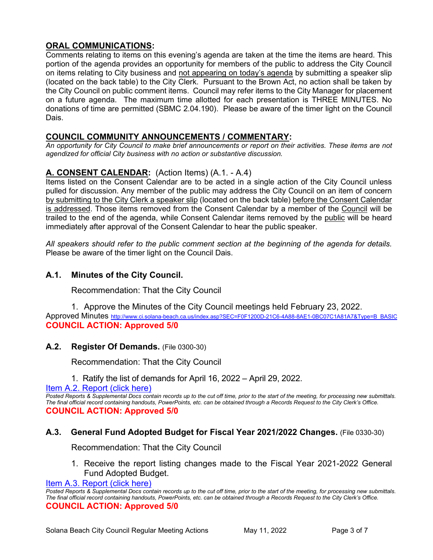## **ORAL COMMUNICATIONS:**

Comments relating to items on this evening's agenda are taken at the time the items are heard. This portion of the agenda provides an opportunity for members of the public to address the City Council on items relating to City business and not appearing on today's agenda by submitting a speaker slip (located on the back table) to the City Clerk. Pursuant to the Brown Act, no action shall be taken by the City Council on public comment items. Council may refer items to the City Manager for placement on a future agenda. The maximum time allotted for each presentation is THREE MINUTES. No donations of time are permitted (SBMC 2.04.190). Please be aware of the timer light on the Council Dais.

## **COUNCIL COMMUNITY ANNOUNCEMENTS / COMMENTARY:**

*An opportunity for City Council to make brief announcements or report on their activities. These items are not agendized for official City business with no action or substantive discussion.* 

## **A. CONSENT CALENDAR:** (Action Items) (A.1. - A.4)

Items listed on the Consent Calendar are to be acted in a single action of the City Council unless pulled for discussion. Any member of the public may address the City Council on an item of concern by submitting to the City Clerk a speaker slip (located on the back table) before the Consent Calendar is addressed. Those items removed from the Consent Calendar by a member of the Council will be trailed to the end of the agenda, while Consent Calendar items removed by the public will be heard immediately after approval of the Consent Calendar to hear the public speaker.

*All speakers should refer to the public comment section at the beginning of the agenda for details.* Please be aware of the timer light on the Council Dais.

## **A.1. Minutes of the City Council.**

Recommendation: That the City Council

1. Approve the Minutes of the City Council meetings held February 23, 2022. Approved Minutes [http://www.ci.solana-beach.ca.us/index.asp?SEC=F0F1200D-21C6-4A88-8AE1-0BC07C1A81A7&Type=B\\_BASIC](http://www.ci.solana-beach.ca.us/index.asp?SEC=F0F1200D-21C6-4A88-8AE1-0BC07C1A81A7&Type=B_BASIC) **COUNCIL ACTION: Approved 5/0**

## **A.2. Register Of Demands.** (File 0300-30)

Recommendation: That the City Council

1. Ratify the list of demands for April 16, 2022 – April 29, 2022.

## [Item A.2. Report \(click here\)](https://solanabeach.govoffice3.com/vertical/Sites/%7B840804C2-F869-4904-9AE3-720581350CE7%7D/uploads/A2_Report_-_5-11-22_-_O.pdf)

*Posted Reports & Supplemental Docs contain records up to the cut off time, prior to the start of the meeting, for processing new submittals. The final official record containing handouts, PowerPoints, etc. can be obtained through a Records Request to the City Clerk's Office.* **COUNCIL ACTION: Approved 5/0**

## **A.3. General Fund Adopted Budget for Fiscal Year 2021/2022 Changes.** (File 0330-30)

Recommendation: That the City Council

1. Receive the report listing changes made to the Fiscal Year 2021-2022 General Fund Adopted Budget.

[Item A.3. Report \(click here\)](https://solanabeach.govoffice3.com/vertical/Sites/%7B840804C2-F869-4904-9AE3-720581350CE7%7D/uploads/A3_Report_-_5-11-22_-_O.pdf) 

*Posted Reports & Supplemental Docs contain records up to the cut off time, prior to the start of the meeting, for processing new submittals. The final official record containing handouts, PowerPoints, etc. can be obtained through a Records Request to the City Clerk's Office.* **COUNCIL ACTION: Approved 5/0**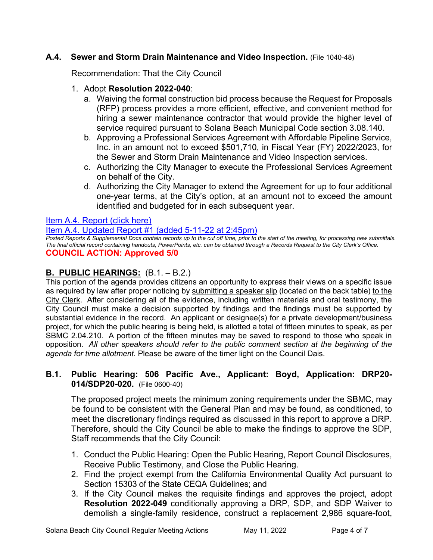## **A.4. Sewer and Storm Drain Maintenance and Video Inspection.** (File 1040-48)

Recommendation: That the City Council

## 1. Adopt **Resolution 2022-040**:

- a. Waiving the formal construction bid process because the Request for Proposals (RFP) process provides a more efficient, effective, and convenient method for hiring a sewer maintenance contractor that would provide the higher level of service required pursuant to Solana Beach Municipal Code section 3.08.140.
- b. Approving a Professional Services Agreement with Affordable Pipeline Service, Inc. in an amount not to exceed \$501,710, in Fiscal Year (FY) 2022/2023, for the Sewer and Storm Drain Maintenance and Video Inspection services.
- c. Authorizing the City Manager to execute the Professional Services Agreement on behalf of the City.
- d. Authorizing the City Manager to extend the Agreement for up to four additional one-year terms, at the City's option, at an amount not to exceed the amount identified and budgeted for in each subsequent year.

## [Item A.4. Report \(click here\)](https://solanabeach.govoffice3.com/vertical/Sites/%7B840804C2-F869-4904-9AE3-720581350CE7%7D/uploads/A4_Report_05-11-22_-_O.pdf)

[Item A.4. Updated Report #1 \(added 5-11-22 at 2:45pm\)](https://solanabeach.govoffice3.com/vertical/Sites/%7B840804C2-F869-4904-9AE3-720581350CE7%7D/uploads/Item_A.4._Updated_Report_1_(5-11-22)_-_O.pdf)

*Posted Reports & Supplemental Docs contain records up to the cut off time, prior to the start of the meeting, for processing new submittals. The final official record containing handouts, PowerPoints, etc. can be obtained through a Records Request to the City Clerk's Office.* **COUNCIL ACTION: Approved 5/0**

## **B. PUBLIC HEARINGS:** (B.1. – B.2.)

This portion of the agenda provides citizens an opportunity to express their views on a specific issue as required by law after proper noticing by submitting a speaker slip (located on the back table) to the City Clerk. After considering all of the evidence, including written materials and oral testimony, the City Council must make a decision supported by findings and the findings must be supported by substantial evidence in the record. An applicant or designee(s) for a private development/business project, for which the public hearing is being held, is allotted a total of fifteen minutes to speak, as per SBMC 2.04.210. A portion of the fifteen minutes may be saved to respond to those who speak in opposition. *All other speakers should refer to the public comment section at the beginning of the agenda for time allotment.* Please be aware of the timer light on the Council Dais.

## **B.1. Public Hearing: 506 Pacific Ave., Applicant: Boyd, Application: DRP20- 014/SDP20-020.** (File 0600-40)

The proposed project meets the minimum zoning requirements under the SBMC, may be found to be consistent with the General Plan and may be found, as conditioned, to meet the discretionary findings required as discussed in this report to approve a DRP. Therefore, should the City Council be able to make the findings to approve the SDP, Staff recommends that the City Council:

- 1. Conduct the Public Hearing: Open the Public Hearing, Report Council Disclosures, Receive Public Testimony, and Close the Public Hearing.
- 2. Find the project exempt from the California Environmental Quality Act pursuant to Section 15303 of the State CEQA Guidelines; and
- 3. If the City Council makes the requisite findings and approves the project, adopt **Resolution 2022-049** conditionally approving a DRP, SDP, and SDP Waiver to demolish a single-family residence, construct a replacement 2,986 square-foot,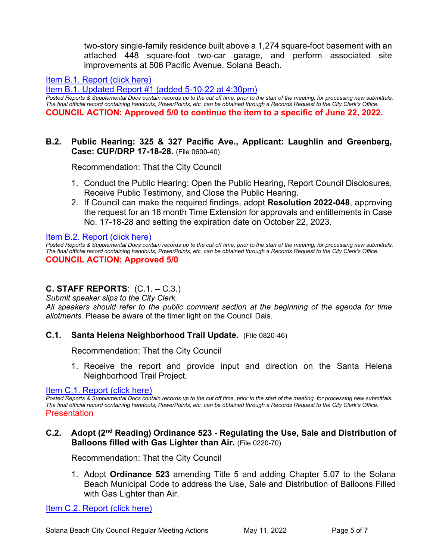two-story single-family residence built above a 1,274 square-foot basement with an attached 448 square-foot two-car garage, and perform associated site improvements at 506 Pacific Avenue, Solana Beach.

## [Item B.1. Report \(click here\)](https://solanabeach.govoffice3.com/vertical/Sites/%7B840804C2-F869-4904-9AE3-720581350CE7%7D/uploads/B1_Report_05-11-22_-_O.pdf)

[Item B.1. Updated Report #1 \(added 5-10-22 at 4:30pm\)](https://solanabeach.govoffice3.com/vertical/Sites/%7B840804C2-F869-4904-9AE3-720581350CE7%7D/uploads/B.1._Updated_Report_1_-_O.pdf)

*Posted Reports & Supplemental Docs contain records up to the cut off time, prior to the start of the meeting, for processing new submittals. The final official record containing handouts, PowerPoints, etc. can be obtained through a Records Request to the City Clerk's Office.* **COUNCIL ACTION: Approved 5/0 to continue the item to a specific of June 22, 2022.** 

## **B.2. Public Hearing: 325 & 327 Pacific Ave., Applicant: Laughlin and Greenberg, Case: CUP/DRP 17-18-28.** (File 0600-40)

Recommendation: That the City Council

- 1. Conduct the Public Hearing: Open the Public Hearing, Report Council Disclosures, Receive Public Testimony, and Close the Public Hearing.
- 2. If Council can make the required findings, adopt **Resolution 2022-048**, approving the request for an 18 month Time Extension for approvals and entitlements in Case No. 17-18-28 and setting the expiration date on October 22, 2023.

[Item B.2. Report \(click here\)](https://solanabeach.govoffice3.com/vertical/Sites/%7B840804C2-F869-4904-9AE3-720581350CE7%7D/uploads/B2_Report_-_5-11-22_-_O.pdf) 

*Posted Reports & Supplemental Docs contain records up to the cut off time, prior to the start of the meeting, for processing new submittals. The final official record containing handouts, PowerPoints, etc. can be obtained through a Records Request to the City Clerk's Office.* **COUNCIL ACTION: Approved 5/0**

## **C. STAFF REPORTS**: (C.1. – C.3.)

*Submit speaker slips to the City Clerk.* 

*All speakers should refer to the public comment section at the beginning of the agenda for time allotments.* Please be aware of the timer light on the Council Dais.

## **C.1. Santa Helena Neighborhood Trail Update.** (File 0820-46)

Recommendation: That the City Council

1. Receive the report and provide input and direction on the Santa Helena Neighborhood Trail Project.

## [Item C.1. Report \(click here\)](https://solanabeach.govoffice3.com/vertical/Sites/%7B840804C2-F869-4904-9AE3-720581350CE7%7D/uploads/C1_Report_-_5-11-22_-_O.pdf)

*Posted Reports & Supplemental Docs contain records up to the cut off time, prior to the start of the meeting, for processing new submittals. The final official record containing handouts, PowerPoints, etc. can be obtained through a Records Request to the City Clerk's Office.* Presentation

## **C.2. Adopt (2nd Reading) Ordinance 523 - Regulating the Use, Sale and Distribution of Balloons filled with Gas Lighter than Air.** (File 0220-70)

Recommendation: That the City Council

1. Adopt **Ordinance 523** amending Title 5 and adding Chapter 5.07 to the Solana Beach Municipal Code to address the Use, Sale and Distribution of Balloons Filled with Gas Lighter than Air.

[Item C.2. Report \(click here\)](https://solanabeach.govoffice3.com/vertical/Sites/%7B840804C2-F869-4904-9AE3-720581350CE7%7D/uploads/C2_Report_-_5-11-22_-_O.pdf)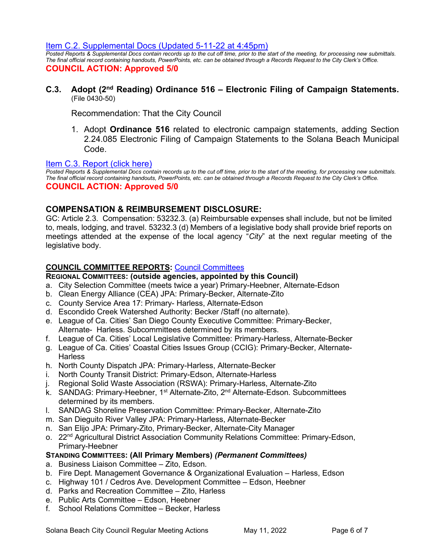[Item C.2. Supplemental Docs \(Updated 5-11-22 at 4:45pm\)](https://solanabeach.govoffice3.com/vertical/Sites/%7B840804C2-F869-4904-9AE3-720581350CE7%7D/uploads/C.2._Supp_Docs_(5-11_445pm)_-_O.pdf)

*Posted Reports & Supplemental Docs contain records up to the cut off time, prior to the start of the meeting, for processing new submittals. The final official record containing handouts, PowerPoints, etc. can be obtained through a Records Request to the City Clerk's Office.* **COUNCIL ACTION: Approved 5/0**

**C.3. Adopt (2nd Reading) Ordinance 516 – Electronic Filing of Campaign Statements.**  (File 0430-50)

Recommendation: That the City Council

1. Adopt **Ordinance 516** related to electronic campaign statements, adding Section 2.24.085 Electronic Filing of Campaign Statements to the Solana Beach Municipal Code.

#### [Item C.3. Report \(click here\)](https://solanabeach.govoffice3.com/vertical/Sites/%7B840804C2-F869-4904-9AE3-720581350CE7%7D/uploads/C3_Report_-_5-11-22_-_O.pdf)

*Posted Reports & Supplemental Docs contain records up to the cut off time, prior to the start of the meeting, for processing new submittals. The final official record containing handouts, PowerPoints, etc. can be obtained through a Records Request to the City Clerk's Office.* **COUNCIL ACTION: Approved 5/0**

## **COMPENSATION & REIMBURSEMENT DISCLOSURE:**

GC: Article 2.3. Compensation: 53232.3. (a) Reimbursable expenses shall include, but not be limited to, meals, lodging, and travel. 53232.3 (d) Members of a legislative body shall provide brief reports on meetings attended at the expense of the local agency "*City*" at the next regular meeting of the legislative body.

## **COUNCIL COMMITTEE REPORTS:** [Council Committees](https://www.ci.solana-beach.ca.us/index.asp?SEC=584E1192-3850-46EA-B977-088AC3E81E0D&Type=B_BASIC)

## **REGIONAL COMMITTEES: (outside agencies, appointed by this Council)**

- a. City Selection Committee (meets twice a year) Primary-Heebner, Alternate-Edson
- b. Clean Energy Alliance (CEA) JPA: Primary-Becker, Alternate-Zito
- c. County Service Area 17: Primary- Harless, Alternate-Edson
- d. Escondido Creek Watershed Authority: Becker /Staff (no alternate).
- e. League of Ca. Cities' San Diego County Executive Committee: Primary-Becker, Alternate- Harless. Subcommittees determined by its members.
- f. League of Ca. Cities' Local Legislative Committee: Primary-Harless, Alternate-Becker
- g. League of Ca. Cities' Coastal Cities Issues Group (CCIG): Primary-Becker, Alternate-**Harless**
- h. North County Dispatch JPA: Primary-Harless, Alternate-Becker
- i. North County Transit District: Primary-Edson, Alternate-Harless
- j. Regional Solid Waste Association (RSWA): Primary-Harless, Alternate-Zito
- k. SANDAG: Primary-Heebner, 1<sup>st</sup> Alternate-Zito, 2<sup>nd</sup> Alternate-Edson. Subcommittees determined by its members.
- l. SANDAG Shoreline Preservation Committee: Primary-Becker, Alternate-Zito
- m. San Dieguito River Valley JPA: Primary-Harless, Alternate-Becker
- n. San Elijo JPA: Primary-Zito, Primary-Becker, Alternate-City Manager
- o. 22<sup>nd</sup> Agricultural District Association Community Relations Committee: Primary-Edson, Primary-Heebner

## **STANDING COMMITTEES: (All Primary Members)** *(Permanent Committees)*

- a. Business Liaison Committee Zito, Edson.
- b. Fire Dept. Management Governance & Organizational Evaluation Harless, Edson
- c. Highway 101 / Cedros Ave. Development Committee Edson, Heebner
- d. Parks and Recreation Committee Zito, Harless
- e. Public Arts Committee Edson, Heebner
- f. School Relations Committee Becker, Harless